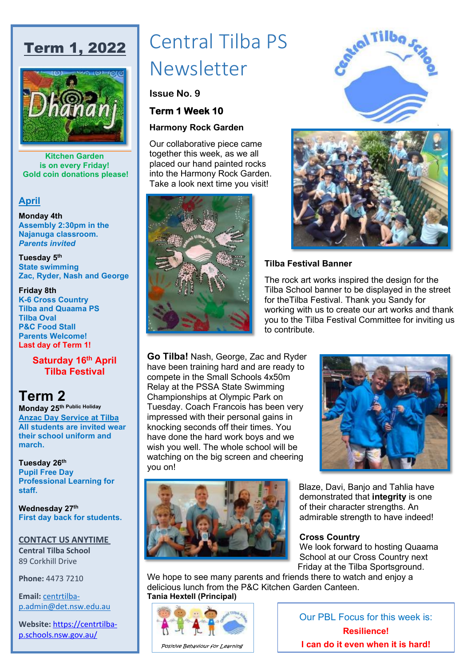# Term 1, 2022



**Kitchen Garden is on every Friday! Gold coin donations please!**

#### **April**

**Monday 4th Assembly 2:30pm in the Najanuga classroom.** *Parents invited*

**Tuesday 5th State swimming Zac, Ryder, Nash and George**

#### **Friday 8th**

**K-6 Cross Country Tilba and Quaama PS Tilba Oval P&C Food Stall Parents Welcome! Last day of Term 1!**

#### **Saturday 16th April Tilba Festival**

## **Term 2**

**Monday 25th Public Holiday Anzac Day Service at Tilba All students are invited wear their school uniform and march.**

**Tuesday 26th Pupil Free Day Professional Learning for staff.**

**Wednesday 27th First day back for students.**

#### **CONTACT US ANYTIME**

**Central Tilba School** 89 Corkhill Drive

**Phone:** 4473 7210

**[Email:](mailto:centrtilba-p.admin@det.nsw.edu.au)** [centrtilba](mailto:centrtilba-p.admin@det.nsw.edu.au)[p.admin@det.nsw.edu.au](mailto:p.admin@det.nsw.edu.au)

**Website:** [https://centrtilba](https://centrtilba-p.schools.nsw.gov.au/)[p.schools.nsw.gov.au/](https://centrtilba-p.schools.nsw.gov.au/)

# Central Tilba PS Newsletter

## **Issue No. 9**

## **Term 1 Week 10**

#### **Harmony Rock Garden**

Our collaborative piece came together this week, as we all placed our hand painted rocks into the Harmony Rock Garden. Take a look next time you visit!







#### **Tilba Festival Banner**

The rock art works inspired the design for the Tilba School banner to be displayed in the street for theTilba Festival. Thank you Sandy for working with us to create our art works and thank you to the Tilba Festival Committee for inviting us to contribute.

**Go Tilba!** Nash, George, Zac and Ryder have been training hard and are ready to compete in the Small Schools 4x50m Relay at the PSSA State Swimming Championships at Olympic Park on Tuesday. Coach Francois has been very impressed with their personal gains in knocking seconds off their times. You have done the hard work boys and we wish you well. The whole school will be watching on the big screen and cheering you on!





Blaze, Davi, Banjo and Tahlia have demonstrated that **integrity** is one of their character strengths. An admirable strength to have indeed!

#### **Cross Country**

We look forward to hosting Quaama School at our Cross Country next Friday at the Tilba Sportsground.

We hope to see many parents and friends there to watch and enjoy a delicious lunch from the P&C Kitchen Garden Canteen. **Tania Hextell (Principal)** 



Our PBL Focus for this week is: **Resilience! I can do it even when it is hard!**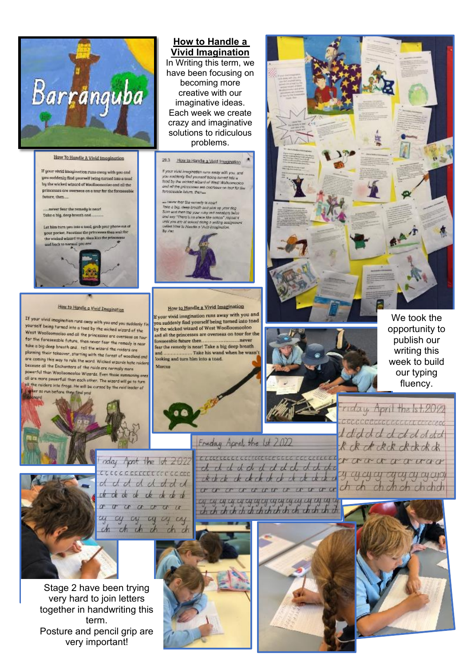

#### Haw To Handle A Vivid Imagination

If your vivid imagination runs eway with you and you suddenly find yourself being turned into a tood by the wicked wizard of Woolloomooioo and all the princesses are overseas on a tour for the foreseeable future then.

... never fear the remedy is nearl Take a big, deep breath and ...

Let him turn una into a tood, grob your phone aut of your pocket, Focation the princesses than wait for the wicked wizard to go, then kiss the princesses



#### How to Handle a Vivid Imagination

If your vivid imagination rurs away with you and you suddenly fir yourself being turned into a tood by the wicked wizard of the West Woolloomooloo and all the princesses are oversens on four for the foreseeable future, then never fear the remedy is near take a big deep breath and tell the wizard the raiders are planning their takeover, starting with the forest of woodland and are coming this way to rule the word. Wicked wizards hate raiders because all the Enchanters of the raids are rarmally nore powerful than Woollocmcoloo Wizards. Even those numering ones all are more powerfull than each other. The wizard will go to turn all the raiders into frogs. He will be cursed by the raid leader al er so run before on find you



In Writing this term, we have been focusing on becoming more creative with our imaginative ideas. Each week we create crazy and imaginative solutions to ridiculous problems.

29.3 How to Handle a Vivid Inscination

If your visit imagination runs away with you, and<br>you antitiatly find yourself boing iumed lab. a<br>lood by the mixted wizard at West Walasanapian<br>and all the princesses are oversees on lost for the foresceable fidure, then

 $\omega$  over<br>a first diffusion constitution of pairs of pairs and the a log, always from<br>the and pairs are pairs on pairs and the strongless basis of<br>a station of the station of the strongless of the strongless of<br>the pair o  $S_Y Z$ ac



#### How to Handle a Vivid Imagination

If your vivid imagination runs away with you and you suddenly find yourself being turned into toad by the wicked wizard of West Woolloomooloo and all the princesses are overseas on tour for the foreseeable future then. ...never fear the remody is near! Take a big deep breath Take his wand when he wasn and ... looking and turn him into a toad.







We took the opportunity to publish our writing this week to build our typing fluency.

riday April the 1st.2012 COCCOCCIOE ECOLOGICE CECERACI I did did did did did R ck ck ck ck ck ck ck ck commencemente de commence et avant avance y cycycy cycycy arapy



nday Aprt the 1st 2022 coccoccoccoccoccocco dddddddd the the the the the the the o o a a a a a a a a a a ch ch ch ch ch ch

Stage 2 have been trying very hard to join letters together in handwriting this term. Posture and pencil grip are very important!







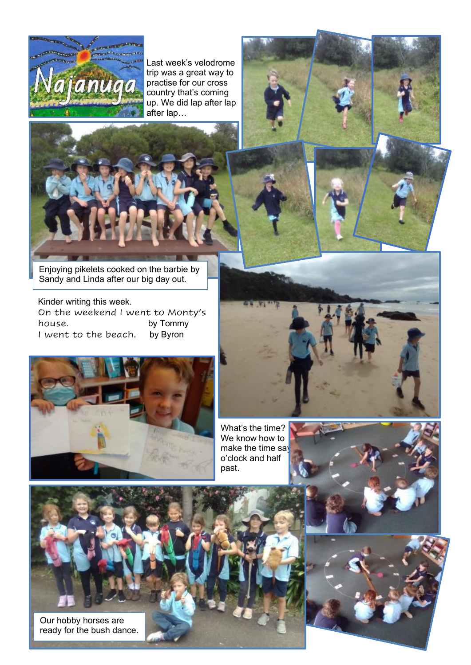

Last week's velodrome trip was a great way to practise for our cross country that's coming up. We did lap after lap after lap…



Enjoying pikelets cooked on the barbie by Sandy and Linda after our big day out.

Kinder writing this week. On the weekend I went to Monty's house. by Tommy<br>I went to the beach. by Byron I went to the beach.



What's the time? We know how to make the time say o'clock and half past.